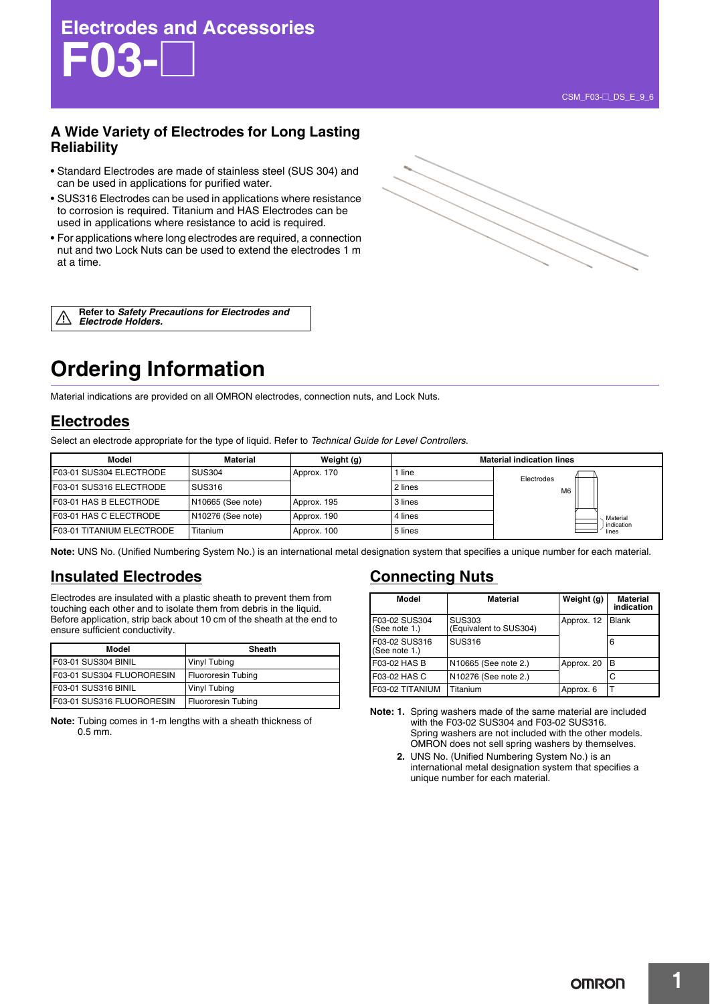## **A Wide Variety of Electrodes for Long Lasting Reliability**

- Standard Electrodes are made of stainless steel (SUS 304) and can be used in applications for purified water.
- SUS316 Electrodes can be used in applications where resistance to corrosion is required. Titanium and HAS Electrodes can be used in applications where resistance to acid is required.
- For applications where long electrodes are required, a connection nut and two Lock Nuts can be used to extend the electrodes 1 m at a time.

**Refer to** *Safety Precautions for Electrodes and*  <u>/\</u> *Electrode Holders.*

# **Ordering Information**

Material indications are provided on all OMRON electrodes, connection nuts, and Lock Nuts.

## **Electrodes**

Select an electrode appropriate for the type of liquid. Refer to *Technical Guide for Level Controllers*.

| Model                     | Material          | Weight (g)  | <b>Material indication lines</b> |                |  |                     |
|---------------------------|-------------------|-------------|----------------------------------|----------------|--|---------------------|
| F03-01 SUS304 ELECTRODE   | <b>SUS304</b>     | Approx. 170 | line                             | Electrodes     |  |                     |
| F03-01 SUS316 ELECTRODE   | SUS316            |             | 2 lines                          | M <sub>6</sub> |  |                     |
| F03-01 HAS B ELECTRODE    | N10665 (See note) | Approx. 195 | 3 lines                          |                |  |                     |
| F03-01 HAS C ELECTRODE    | N10276 (See note) | Approx. 190 | 4 lines                          |                |  | Material            |
| F03-01 TITANIUM ELECTRODE | Titanium          | Approx. 100 | 5 lines                          |                |  | indication<br>lines |

**Note:** UNS No. (Unified Numbering System No.) is an international metal designation system that specifies a unique number for each material.

### **Insulated Electrodes**

Electrodes are insulated with a plastic sheath to prevent them from touching each other and to isolate them from debris in the liquid. Before application, strip back about 10 cm of the sheath at the end to ensure sufficient conductivity.

| Model                      | Sheath                    |
|----------------------------|---------------------------|
| <b>F03-01 SUS304 BINIL</b> | Vinyl Tubing              |
| F03-01 SUS304 FLUORORESIN  | <b>Fluororesin Tubing</b> |
| <b>F03-01 SUS316 BINIL</b> | Vinyl Tubing              |
| F03-01 SUS316 FLUORORESIN  | <b>Fluororesin Tubing</b> |

**Note:** Tubing comes in 1-m lengths with a sheath thickness of 0.5 mm.

### **Connecting Nuts**

| Model                          | <b>Material</b>                         | Weight (g) | <b>Material</b><br>indication |
|--------------------------------|-----------------------------------------|------------|-------------------------------|
| F03-02 SUS304<br>(See note 1.) | <b>SUS303</b><br>(Equivalent to SUS304) | Approx. 12 | <b>Blank</b>                  |
| F03-02 SUS316<br>(See note 1.) | <b>SUS316</b>                           |            | 6                             |
| F03-02 HAS B                   | N10665 (See note 2.)                    | Approx. 20 | в                             |
| F03-02 HAS C                   | N10276 (See note 2.)                    |            | C                             |
| F03-02 TITANIUM                | Titanium                                | Approx. 6  |                               |

**Note: 1.** Spring washers made of the same material are included with the F03-02 SUS304 and F03-02 SUS316. Spring washers are not included with the other models. OMRON does not sell spring washers by themselves.

**2.** UNS No. (Unified Numbering System No.) is an international metal designation system that specifies a unique number for each material.

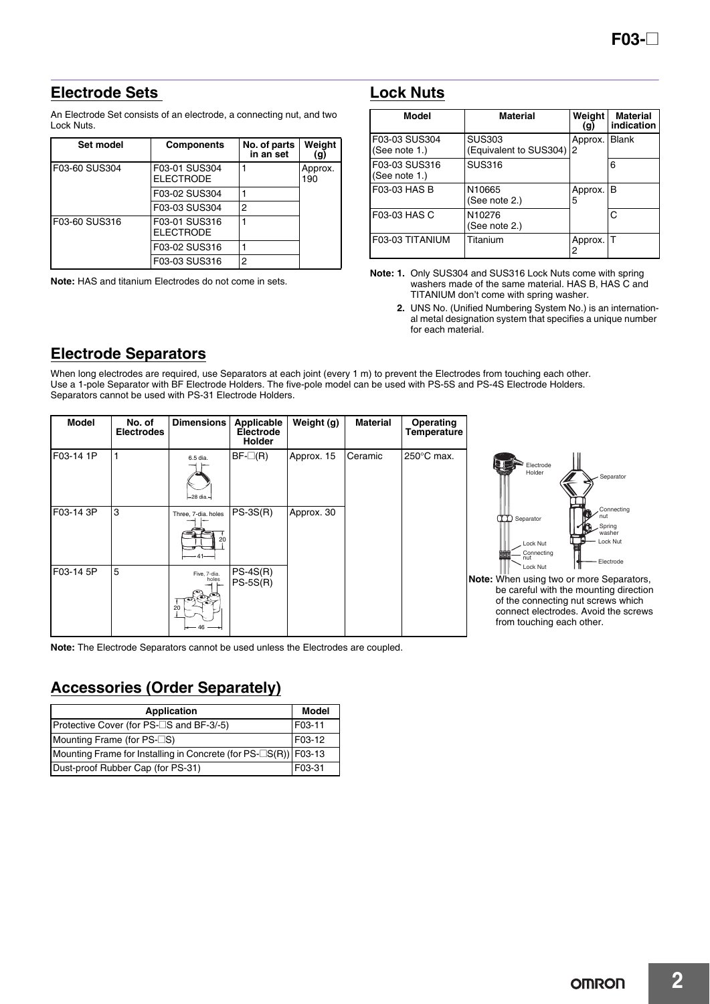## **Electrode Sets**

An Electrode Set consists of an electrode, a connecting nut, and two Lock Nuts.

| Set model     | <b>Components</b>                 | No. of parts<br>in an set | Weight<br>(g)  |
|---------------|-----------------------------------|---------------------------|----------------|
| F03-60 SUS304 | F03-01 SUS304<br><b>ELECTRODE</b> |                           | Approx.<br>190 |
|               | F03-02 SUS304                     |                           |                |
|               | F03-03 SUS304                     | 2                         |                |
| F03-60 SUS316 | F03-01 SUS316<br><b>ELECTRODE</b> |                           |                |
|               | F03-02 SUS316                     |                           |                |
|               | F03-03 SUS316                     | 2                         |                |

**Note:** HAS and titanium Electrodes do not come in sets.

### **Lock Nuts**

| Model                             | <b>Material</b>                         | Weiaht<br>(g) | <b>Material</b><br>indication |
|-----------------------------------|-----------------------------------------|---------------|-------------------------------|
| F03-03 SUS304<br>(See note $1.$ ) | <b>SUS303</b><br>(Equivalent to SUS304) | Approx.<br>2  | <b>Blank</b>                  |
| F03-03 SUS316<br>(See note $1.$ ) | <b>SUS316</b>                           |               | 6                             |
| F03-03 HAS B                      | N10665<br>(See note 2.)                 | Approx.<br>5  | в                             |
| F03-03 HAS C                      | N10276<br>(See note 2.)                 |               | C                             |
| F03-03 TITANIUM                   | Titanium                                | Approx.<br>2  | т                             |

**Note: 1.** Only SUS304 and SUS316 Lock Nuts come with spring washers made of the same material. HAS B, HAS C and TITANIUM don't come with spring washer.

**2.** UNS No. (Unified Numbering System No.) is an international metal designation system that specifies a unique number for each material.

## **Electrode Separators**

When long electrodes are required, use Separators at each joint (every 1 m) to prevent the Electrodes from touching each other. Use a 1-pole Separator with BF Electrode Holders. The five-pole model can be used with PS-5S and PS-4S Electrode Holders. Separators cannot be used with PS-31 Electrode Holders.

| <b>Model</b> | No. of<br><b>Electrodes</b> | <b>Dimensions</b>                          | Applicable<br>Electrode<br>Holder | Weight (g) | <b>Material</b> | Operating<br>Temperature |
|--------------|-----------------------------|--------------------------------------------|-----------------------------------|------------|-----------------|--------------------------|
| F03-14 1P    |                             | 6.5 dia.<br>$-28$ dia. $-$                 | $BF$ - $\Box$ (R)                 | Approx. 15 | Ceramic         | $250^{\circ}$ C max.     |
| F03-14 3P    | 3                           | Three, 7-dia. holes<br>20<br>-41-          | $PS-3S(R)$                        | Approx. 30 |                 |                          |
| F03-14 5P    | 5                           | Five, 7-dia.<br>holes<br>ື<br>20<br>$46 -$ | $PS-4S(R)$<br>$PS-5S(R)$          |            |                 |                          |



**Note:** When using two or more Separators, be careful with the mounting direction of the connecting nut screws which connect electrodes. Avoid the screws from touching each other.

**Note:** The Electrode Separators cannot be used unless the Electrodes are coupled.

# **Accessories (Order Separately)**

| <b>Application</b>                                                          | Model  |
|-----------------------------------------------------------------------------|--------|
| Protective Cover (for PS-□S and BF-3/-5)                                    | F03-11 |
| Mounting Frame (for $PS$ - $\Box$ S)                                        | F03-12 |
| Mounting Frame for Installing in Concrete (for $PS\text{-}LS(R)$ )   F03-13 |        |
| Dust-proof Rubber Cap (for PS-31)                                           | F03-31 |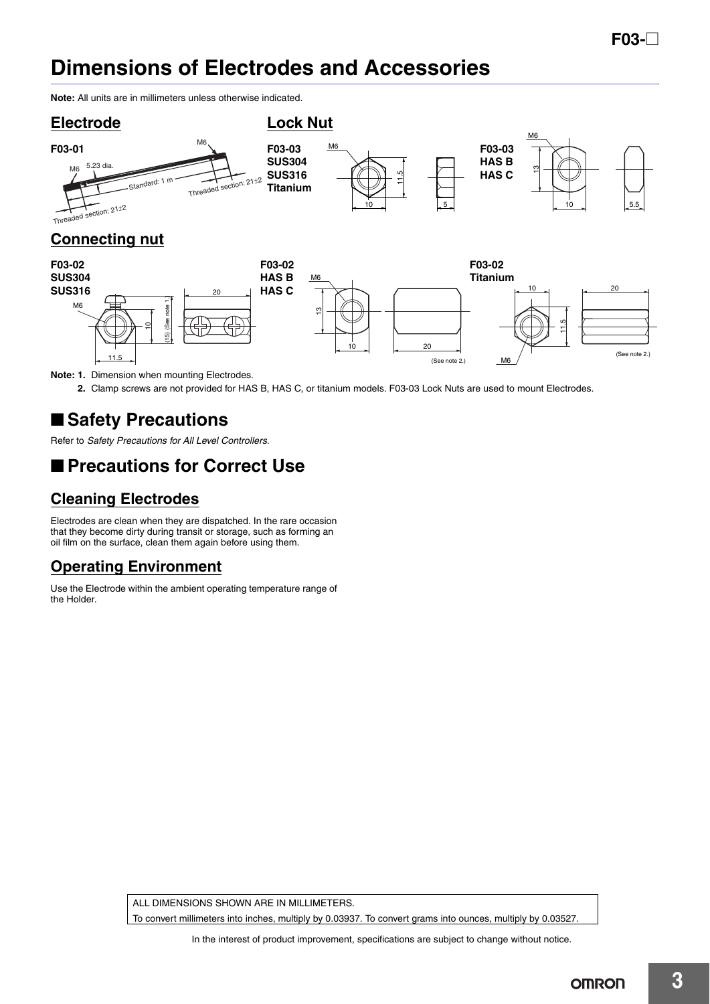# **Dimensions of Electrodes and Accessories**

**Note:** All units are in millimeters unless otherwise indicated.



**2.** Clamp screws are not provided for HAS B, HAS C, or titanium models. F03-03 Lock Nuts are used to mount Electrodes.

# ■ Safety Precautions

Refer to *Safety Precautions for All Level Controllers*.

# ■ **Precautions for Correct Use**

## **Cleaning Electrodes**

Electrodes are clean when they are dispatched. In the rare occasion that they become dirty during transit or storage, such as forming an oil film on the surface, clean them again before using them.

# **Operating Environment**

Use the Electrode within the ambient operating temperature range of the Holder.

ALL DIMENSIONS SHOWN ARE IN MILLIMETERS

To convert millimeters into inches, multiply by 0.03937. To convert grams into ounces, multiply by 0.03527.

**3**

In the interest of product improvement, specifications are subject to change without notice.